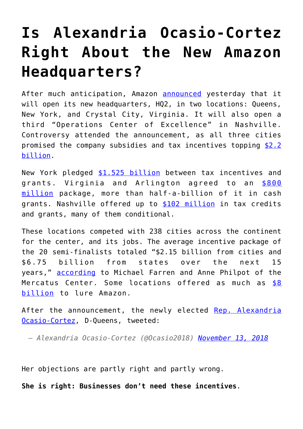## **[Is Alexandria Ocasio-Cortez](https://intellectualtakeout.org/2018/11/is-alexandria-ocasio-cortez-right-about-the-new-amazon-headquarters/) [Right About the New Amazon](https://intellectualtakeout.org/2018/11/is-alexandria-ocasio-cortez-right-about-the-new-amazon-headquarters/) [Headquarters?](https://intellectualtakeout.org/2018/11/is-alexandria-ocasio-cortez-right-about-the-new-amazon-headquarters/)**

After much anticipation, Amazon **[announced](https://www.nbcnews.com/tech/tech-news/hq2-amazon-picks-new-york-washington-d-c-it-new-n871761)** yesterday that it will open its new headquarters, HQ2, in two locations: Queens, New York, and Crystal City, Virginia. It will also open a third "Operations Center of Excellence" in Nashville. Controversy attended the announcement, as all three cities promised the company subsidies and tax incentives topping [\\$2.2](https://www.cnbc.com/2018/11/13/amazon-announces-hq2-location.html) [billion](https://www.cnbc.com/2018/11/13/amazon-announces-hq2-location.html).

New York pledged [\\$1.525 billion](https://www.geekwire.com/2018/hq2-incentives-finally-revealed-heres-nyc-virginia-gave-get-amazons-new-headquarters/) between tax incentives and grants. Virginia and Arlington agreed to an [\\$800](https://www.bizjournals.com/washington/news/2018/11/13/virginias-win-of-amazon-hq2-wasnt-just-based-on.html) [million](https://www.bizjournals.com/washington/news/2018/11/13/virginias-win-of-amazon-hq2-wasnt-just-based-on.html) package, more than half-a-billion of it in cash grants. Nashville offered up to [\\$102 million](https://www.cnbc.com/2018/11/13/amazon-announces-hq2-location.html) in tax credits and grants, many of them conditional.

These locations competed with 238 cities across the continent for the center, and its jobs. The average incentive package of the 20 semi-finalists totaled "\$2.15 billion from cities and \$6.75 billion from states over the next 15 years," **[according](https://www.mercatus.org/publications/study-american-capitalism/amazon-hq2-losers-are-winners?utm_source=twitter&utm_medium=social)** to Michael Farren and Anne Philpot of the Mercatus Center. Some locations offered as much as [\\$8](https://reason.com/blog/2018/11/13/amazon-hq2-new-york-virginia-2-billion) [billion](https://reason.com/blog/2018/11/13/amazon-hq2-new-york-virginia-2-billion) to lure Amazon.

After the announcement, the newly elected [Rep. Alexandria](http://blog.acton.org/archives/102426-alexandria-ocasio-cortez-catholic-spokeswoman.html) [Ocasio-Cortez](http://blog.acton.org/archives/102426-alexandria-ocasio-cortez-catholic-spokeswoman.html), D-Queens, tweeted:

*— Alexandria Ocasio-Cortez (@Ocasio2018) [November 13, 2018](https://twitter.com/Ocasio2018/status/1062204614496403457?ref_src=twsrc%5Etfw)*

Her objections are partly right and partly wrong.

**She is right: Businesses don't need these incentives**.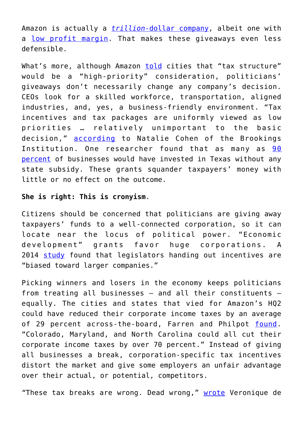Amazon is actually a *[trillion](https://www.cnbc.com/2018/09/04/amazon-hits-1-trillion-in-market-value.html)*[-dollar company](https://www.cnbc.com/2018/09/04/amazon-hits-1-trillion-in-market-value.html), albeit one with a [low profit margin.](https://economictimes.indiatimes.com/small-biz/startups/newsbuzz/amazons-dinky-3-8-operating-profit-margin-pales-in-front-of-facebooks-45-but-investors-love-bezos/articleshow/63935230.cms) That makes these giveaways even less defensible.

What's more, although Amazon [told](https://newrepublic.com/article/145493/238-attempted-bribes-amazon-illegal) cities that "tax structure" would be a "high-priority" consideration, politicians' giveaways don't necessarily change any company's decision. CEOs look for a skilled workforce, transportation, aligned industries, and, yes, a business-friendly environment. "Tax incentives and tax packages are uniformly viewed as low priorities … relatively unimportant to the basic decision," [according](https://www.brookings.edu/wp-content/uploads/2016/06/cohen-1.pdf) to Natalie Cohen of the Brookings Institution. One researcher found that as many as [90](https://www.natemjensen.com/wp-content/uploads/2017/02/Jensen-Chapter-313-Policy-Brief-1.pdf) [percent](https://www.natemjensen.com/wp-content/uploads/2017/02/Jensen-Chapter-313-Policy-Brief-1.pdf) of businesses would have invested in Texas without any state subsidy. These grants squander taxpayers' money with little or no effect on the outcome.

## **She is right: This is cronyism**.

Citizens should be concerned that politicians are giving away taxpayers' funds to a well-connected corporation, so it can locate near the locus of political power. "Economic development" grants favor huge corporations. A 2014 [study](https://www.mercatus.org/system/files/Coyne_TargetedBenefits_v2.pdf) found that legislators handing out incentives are "biased toward larger companies."

Picking winners and losers in the economy keeps politicians from treating all businesses – and all their constituents – equally. The cities and states that vied for Amazon's HQ2 could have reduced their corporate income taxes by an average of 29 percent across-the-board, Farren and Philpot [found.](https://www.mercatus.org/publications/study-american-capitalism/amazon-hq2-losers-are-winners?utm_source=twitter&utm_medium=social) "Colorado, Maryland, and North Carolina could all cut their corporate income taxes by over 70 percent." Instead of giving all businesses a break, corporation-specific tax incentives distort the market and give some employers an unfair advantage over their actual, or potential, competitors.

*"*These tax breaks are wrong. Dead wrong," [wrote](https://www.nationalreview.com/corner/rep-alexandria-ocasio-cortez-is-right-about-amazons-corporate-welfare/) Veronique de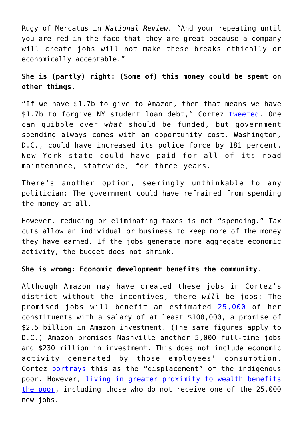Rugy of Mercatus in *National Review. "*And your repeating until you are red in the face that they are great because a company will create jobs will not make these breaks ethically or economically acceptable."

**She is (partly) right: (Some of) this money could be spent on other things**.

"If we have \$1.7b to give to Amazon, then that means we have \$1.7b to forgive NY student loan debt," Cortez tweeted, One can quibble over *what* should be funded, but government spending always comes with an opportunity cost. Washington, D.C., could have increased its police force by 181 percent. New York state could have paid for all of its road maintenance, statewide, for three years.

There's another option, seemingly unthinkable to any politician: The government could have refrained from spending the money at all.

However, reducing or eliminating taxes is not "spending." Tax cuts allow an individual or business to keep more of the money they have earned. If the jobs generate more aggregate economic activity, the budget does not shrink.

**She is wrong: Economic development benefits the community**.

Although Amazon may have created these jobs in Cortez's district without the incentives, there *will* be jobs: The promised jobs will benefit an estimated [25,000](https://www.cnbc.com/2018/11/13/amazon-announces-hq2-location.html) of her constituents with a salary of at least \$100,000, a promise of \$2.5 billion in Amazon investment. (The same figures apply to D.C.) Amazon promises Nashville another 5,000 full-time jobs and \$230 million in investment. This does not include economic activity generated by those employees' consumption. Cortez [portrays](https://twitter.com/Ocasio2018/status/1062209376398819328) this as the "displacement" of the indigenous poor. However, *[living in greater proximity to wealth benefits](http://blog.acton.org/archives/98258-6-ways-economic-freedom-benefits-the-global-poor.html)* [the poor](http://blog.acton.org/archives/98258-6-ways-economic-freedom-benefits-the-global-poor.html), including those who do not receive one of the 25,000 new jobs.